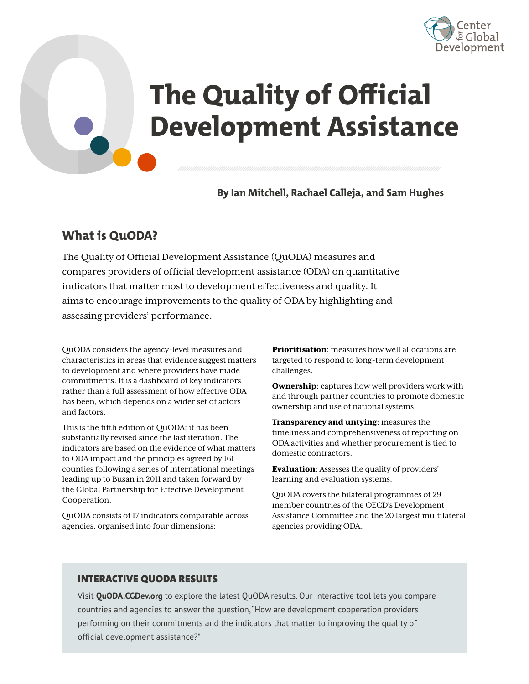

# **The Quality of Official Development Assistance The Quality of Official Property Assist**

**By Ian Mitchell, Rachael Calleja, and Sam Hughes**

## **What is QuODA?**

The Quality of Official Development Assistance (QuODA) measures and compares providers of official development assistance (ODA) on quantitative indicators that matter most to development effectiveness and quality. It aims to encourage improvements to the quality of ODA by highlighting and assessing providers' performance. **What is QuOD**<br>The Quality of Off<br>compares provide<br>indicators that ma<br>aims to encourage<br>assessing provider<br>QuODA considers the<br>characteristics in area<br>to development and v<br>commitments. It is a c

QuODA considers the agency-level measures and characteristics in areas that evidence suggest matters to development and where providers have made commitments. It is a dashboard of key indicators rather than a full assessment of how effective ODA has been, which depends on a wider set of actors and factors.

This is the fifth edition of QuODA; it has been substantially revised since the last iteration. The indicators are based on the evidence of what matters to ODA impact and the principles agreed by 161 counties following a series of international meetings leading up to Busan in 2011 and taken forward by the Global Partnership for Effective Development Cooperation.

QuODA consists of 17 indicators comparable across agencies, organised into four dimensions:

**Prioritisation:** measures how well allocations are targeted to respond to long-term development challenges.

Ownership: captures how well providers work with and through partner countries to promote domestic ownership and use of national systems.

Transparency and untying: measures the timeliness and comprehensiveness of reporting on ODA activities and whether procurement is tied to domestic contractors.

Evaluation: Assesses the quality of providers' learning and evaluation systems.

QuODA covers the bilateral programmes of 29 member countries of the OECD's Development Assistance Committee and the 20 largest multilateral agencies providing ODA.

#### INTERACTIVE QUODA RESULTS

Visit **[QuODA.CGDev.org](https://quoda.cgdev.org/)** to explore the latest QuODA results. Our interactive tool lets you compare countries and agencies to answer the question, "How are development cooperation providers performing on their commitments and the indicators that matter to improving the quality of official development assistance?"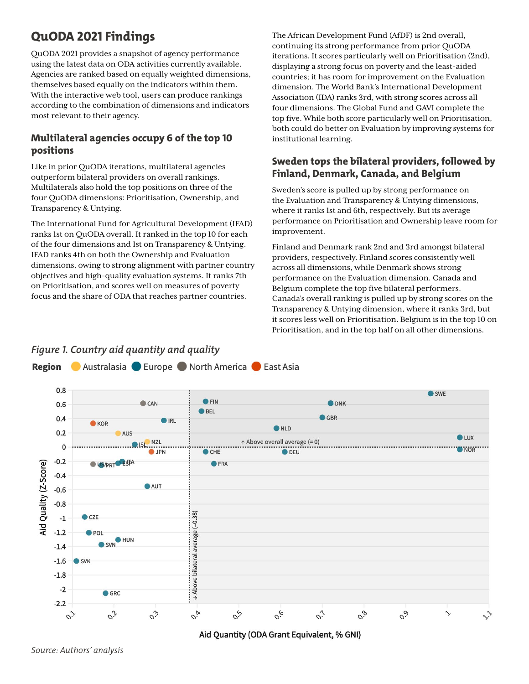# **QuODA 2021 Findings**

QuODA 2021 provides a snapshot of agency performance using the latest data on ODA activities currently available. Agencies are ranked based on equally weighted dimensions, themselves based equally on the indicators within them. With the interactive web tool, users can produce rankings according to the combination of dimensions and indicators most relevant to their agency.

#### **Multilateral agencies occupy 6 of the top 10 positions**

Like in prior QuODA iterations, multilateral agencies outperform bilateral providers on overall rankings. Multilaterals also hold the top positions on three of the four QuODA dimensions: Prioritisation, Ownership, and Transparency & Untying.

The International Fund for Agricultural Development (IFAD) ranks 1st on QuODA overall. It ranked in the top 10 for each of the four dimensions and 1st on Transparency & Untying. IFAD ranks 4th on both the Ownership and Evaluation dimensions, owing to strong alignment with partner country objectives and high-quality evaluation systems. It ranks 7th on Prioritisation, and scores well on measures of poverty focus and the share of ODA that reaches partner countries.

The African Development Fund (AfDF) is 2nd overall, continuing its strong performance from prior QuODA iterations. It scores particularly well on Prioritisation (2nd), displaying a strong focus on poverty and the least-aided countries; it has room for improvement on the Evaluation dimension. The World Bank's International Development Association (IDA) ranks 3rd, with strong scores across all four dimensions. The Global Fund and GAVI complete the top five. While both score particularly well on Prioritisation, both could do better on Evaluation by improving systems for institutional learning.

#### **Sweden tops the bilateral providers, followed by Finland, Denmark, Canada, and Belgium**

Sweden's score is pulled up by strong performance on the Evaluation and Transparency & Untying dimensions, where it ranks 1st and 6th, respectively. But its average performance on Prioritisation and Ownership leave room for improvement.

Finland and Denmark rank 2nd and 3rd amongst bilateral providers, respectively. Finland scores consistently well across all dimensions, while Denmark shows strong performance on the Evaluation dimension. Canada and Belgium complete the top five bilateral performers. Canada's overall ranking is pulled up by strong scores on the Transparency & Untying dimension, where it ranks 3rd, but it scores less well on Prioritisation. Belgium is in the top 10 on Prioritisation, and in the top half on all other dimensions.



Aid Quantity (ODA Grant Equivalent, % GNI)

*Source: Authors' analysis*

# *Figure 1. Country aid quantity and quality*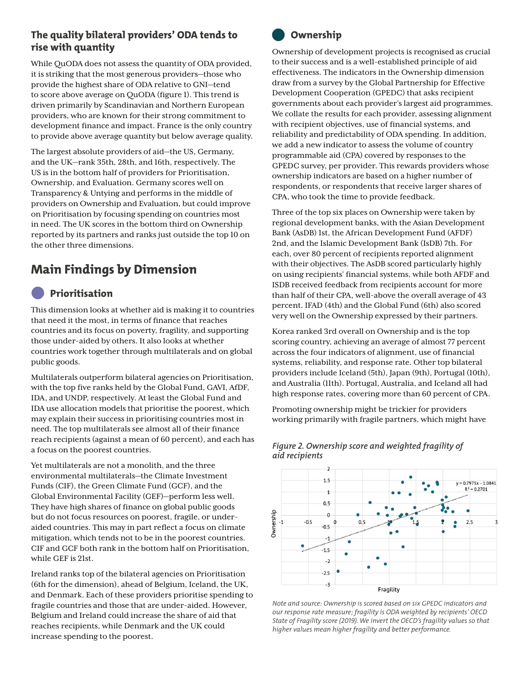#### **The quality bilateral providers' ODA tends to rise with quantity**

While QuODA does not assess the quantity of ODA provided, it is striking that the most generous providers—those who provide the highest share of ODA relative to GNI—tend to score above average on QuODA (figure 1). This trend is driven primarily by Scandinavian and Northern European providers, who are known for their strong commitment to development finance and impact. France is the only country to provide above average quantity but below average quality.

The largest absolute providers of aid—the US, Germany, and the UK—rank 35th, 28th, and 16th, respectively. The US is in the bottom half of providers for Prioritisation, Ownership, and Evaluation. Germany scores well on Transparency & Untying and performs in the middle of providers on Ownership and Evaluation, but could improve on Prioritisation by focusing spending on countries most in need. The UK scores in the bottom third on Ownership reported by its partners and ranks just outside the top 10 on the other three dimensions.

# **Main Findings by Dimension**

# **Prioritisation**

This dimension looks at whether aid is making it to countries that need it the most, in terms of finance that reaches countries and its focus on poverty, fragility, and supporting those under-aided by others. It also looks at whether countries work together through multilaterals and on global public goods.

Multilaterals outperform bilateral agencies on Prioritisation, with the top five ranks held by the Global Fund, GAVI, AfDF, IDA, and UNDP, respectively. At least the Global Fund and IDA use allocation models that prioritise the poorest, which may explain their success in prioritising countries most in need. The top multilaterals see almost all of their finance reach recipients (against a mean of 60 percent), and each has a focus on the poorest countries.

Yet multilaterals are not a monolith, and the three environmental multilaterals—the Climate Investment Funds (CIF), the Green Climate Fund (GCF), and the Global Environmental Facility (GEF)—perform less well. They have high shares of finance on global public goods but do not focus resources on poorest, fragile, or underaided countries. This may in part reflect a focus on climate mitigation, which tends not to be in the poorest countries. CIF and GCF both rank in the bottom half on Prioritisation, while GEF is 21st.

Ireland ranks top of the bilateral agencies on Prioritisation (6th for the dimension), ahead of Belgium, Iceland, the UK, and Denmark. Each of these providers prioritise spending to fragile countries and those that are under-aided. However, Belgium and Ireland could increase the share of aid that reaches recipients, while Denmark and the UK could increase spending to the poorest.



### **Ownership**

Ownership of development projects is recognised as crucial to their success and is a well-established principle of aid effectiveness. The indicators in the Ownership dimension draw from a survey by the Global Partnership for Effective Development Cooperation (GPEDC) that asks recipient governments about each provider's largest aid programmes. We collate the results for each provider, assessing alignment with recipient objectives, use of financial systems, and reliability and predictability of ODA spending. In addition, we add a new indicator to assess the volume of country programmable aid (CPA) covered by responses to the GPEDC survey, per provider. This rewards providers whose ownership indicators are based on a higher number of respondents, or respondents that receive larger shares of CPA, who took the time to provide feedback.

Three of the top six places on Ownership were taken by regional development banks, with the Asian Development Bank (AsDB) 1st, the African Development Fund (AFDF) 2nd, and the Islamic Development Bank (IsDB) 7th. For each, over 80 percent of recipients reported alignment with their objectives. The AsDB scored particularly highly on using recipients' financial systems, while both AFDF and ISDB received feedback from recipients account for more than half of their CPA, well-above the overall average of 43 percent. IFAD (4th) and the Global Fund (6th) also scored very well on the Ownership expressed by their partners.

Korea ranked 3rd overall on Ownership and is the top scoring country, achieving an average of almost 77 percent across the four indicators of alignment, use of financial systems, reliability, and response rate. Other top bilateral providers include Iceland (5th), Japan (9th), Portugal (10th), and Australia (11th). Portugal, Australia, and Iceland all had high response rates, covering more than 60 percent of CPA.

Promoting ownership might be trickier for providers working primarily with fragile partners, which might have



#### *Figure 2. Ownership score and weighted fragility of aid recipients*

*Note and source: Ownership is scored based on six GPEDC indicators and our response rate measure; fragility is ODA weighted by recipients' OECD State of Fragility score (2019). We invert the OECD's fragility values so that higher values mean higher fragility and better performance.*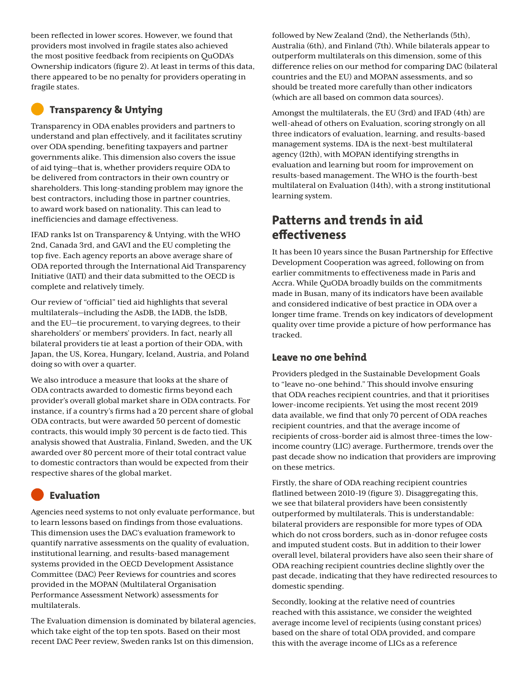been reflected in lower scores. However, we found that providers most involved in fragile states also achieved the most positive feedback from recipients on QuODA's Ownership indicators (figure 2). At least in terms of this data, there appeared to be no penalty for providers operating in fragile states.

#### **Transparency & Untying**

Transparency in ODA enables providers and partners to understand and plan effectively, and it facilitates scrutiny over ODA spending, benefiting taxpayers and partner governments alike. This dimension also covers the issue of aid tying—that is, whether providers require ODA to be delivered from contractors in their own country or shareholders. This long-standing problem may ignore the best contractors, including those in partner countries, to award work based on nationality. This can lead to inefficiencies and damage effectiveness.

IFAD ranks 1st on Transparency & Untying, with the WHO 2nd, Canada 3rd, and GAVI and the EU completing the top five. Each agency reports an above average share of ODA reported through the International Aid Transparency Initiative (IATI) and their data submitted to the OECD is complete and relatively timely.

Our review of "official" tied aid highlights that several multilaterals—including the AsDB, the IADB, the IsDB, and the EU—tie procurement, to varying degrees, to their shareholders' or members' providers. In fact, nearly all bilateral providers tie at least a portion of their ODA, with Japan, the US, Korea, Hungary, Iceland, Austria, and Poland doing so with over a quarter.

We also introduce a measure that looks at the share of ODA contracts awarded to domestic firms beyond each provider's overall global market share in ODA contracts. For instance, if a country's firms had a 20 percent share of global ODA contracts, but were awarded 50 percent of domestic contracts, this would imply 30 percent is de facto tied. This analysis showed that Australia, Finland, Sweden, and the UK awarded over 80 percent more of their total contract value to domestic contractors than would be expected from their respective shares of the global market.

#### **Evaluation**

Agencies need systems to not only evaluate performance, but to learn lessons based on findings from those evaluations. This dimension uses the DAC's evaluation framework to quantify narrative assessments on the quality of evaluation, institutional learning, and results-based management systems provided in the OECD Development Assistance Committee (DAC) Peer Reviews for countries and scores provided in the MOPAN (Multilateral Organisation Performance Assessment Network) assessments for multilaterals.

The Evaluation dimension is dominated by bilateral agencies, which take eight of the top ten spots. Based on their most recent DAC Peer review, Sweden ranks 1st on this dimension,

followed by New Zealand (2nd), the Netherlands (5th), Australia (6th), and Finland (7th). While bilaterals appear to outperform multilaterals on this dimension, some of this difference relies on our method for comparing DAC (bilateral countries and the EU) and MOPAN assessments, and so should be treated more carefully than other indicators (which are all based on common data sources).

Amongst the multilaterals, the EU (3rd) and IFAD (4th) are well-ahead of others on Evaluation, scoring strongly on all three indicators of evaluation, learning, and results-based management systems. IDA is the next-best multilateral agency (12th), with MOPAN identifying strengths in evaluation and learning but room for improvement on results-based management. The WHO is the fourth-best multilateral on Evaluation (14th), with a strong institutional learning system.

# **Patterns and trends in aid effectiveness**

It has been 10 years since the Busan Partnership for Effective Development Cooperation was agreed, following on from earlier commitments to effectiveness made in Paris and Accra. While QuODA broadly builds on the commitments made in Busan, many of its indicators have been available and considered indicative of best practice in ODA over a longer time frame. Trends on key indicators of development quality over time provide a picture of how performance has tracked.

#### **Leave no one behind**

Providers pledged in the Sustainable Development Goals to "leave no-one behind." This should involve ensuring that ODA reaches recipient countries, and that it prioritises lower-income recipients. Yet using the most recent 2019 data available, we find that only 70 percent of ODA reaches recipient countries, and that the average income of recipients of cross-border aid is almost three-times the lowincome country (LIC) average. Furthermore, trends over the past decade show no indication that providers are improving on these metrics.

Firstly, the share of ODA reaching recipient countries flatlined between 2010-19 (figure 3). Disaggregating this, we see that bilateral providers have been consistently outperformed by multilaterals. This is understandable: bilateral providers are responsible for more types of ODA which do not cross borders, such as in-donor refugee costs and imputed student costs. But in addition to their lower overall level, bilateral providers have also seen their share of ODA reaching recipient countries decline slightly over the past decade, indicating that they have redirected resources to domestic spending.

Secondly, looking at the relative need of countries reached with this assistance, we consider the weighted average income level of recipients (using constant prices) based on the share of total ODA provided, and compare this with the average income of LICs as a reference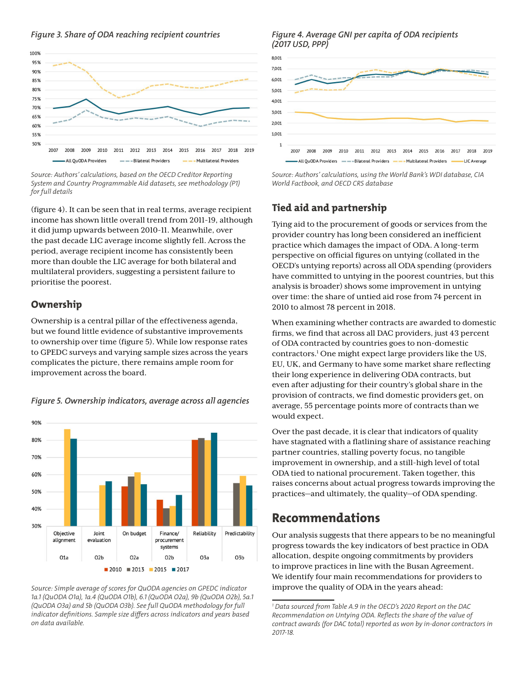#### *Figure 3. Share of ODA reaching recipient countries*



*Source: Authors' calculations, based on the OECD Creditor Reporting System and Country Programmable Aid datasets, see methodology (P1) for full details*

(figure 4). It can be seen that in real terms, average recipient income has shown little overall trend from 2011-19, although it did jump upwards between 2010-11. Meanwhile, over the past decade LIC average income slightly fell. Across the period, average recipient income has consistently been more than double the LIC average for both bilateral and multilateral providers, suggesting a persistent failure to prioritise the poorest.

#### **Ownership**

Ownership is a central pillar of the effectiveness agenda, but we found little evidence of substantive improvements to ownership over time (figure 5). While low response rates to GPEDC surveys and varying sample sizes across the years complicates the picture, there remains ample room for improvement across the board.



*Figure 5. Ownership indicators, average across all agencies*

*Source: Simple average of scores for QuODA agencies on GPEDC indicator 1a.1 (QuODA O1a), 1a.4 (QuODA O1b), 6.1 (QuODA O2a), 9b (QuODA O2b), 5a.1 (QuODA O3a) and 5b (QuODA O3b). See full QuODA methodology for full indicator definitions. Sample size differs across indicators and years based on data available.* 

#### *Figure 4. Average GNI per capita of ODA recipients (2017 USD, PPP)*



*Source: Authors' calculations, using the World Bank's WDI database, CIA World Factbook, and OECD CRS database*

#### **Tied aid and partnership**

Tying aid to the procurement of goods or services from the provider country has long been considered an inefficient practice which damages the impact of ODA. A long-term perspective on official figures on untying (collated in the OECD's untying reports) across all ODA spending (providers have committed to untying in the poorest countries, but this analysis is broader) shows some improvement in untying over time: the share of untied aid rose from 74 percent in 2010 to almost 78 percent in 2018.

When examining whether contracts are awarded to domestic firms, we find that across all DAC providers, just 43 percent of ODA contracted by countries goes to non-domestic contractors.<sup>1</sup> One might expect large providers like the US, EU, UK, and Germany to have some market share reflecting their long experience in delivering ODA contracts, but even after adjusting for their country's global share in the provision of contracts, we find domestic providers get, on average, 55 percentage points more of contracts than we would expect.

Over the past decade, it is clear that indicators of quality have stagnated with a flatlining share of assistance reaching partner countries, stalling poverty focus, no tangible improvement in ownership, and a still-high level of total ODA tied to national procurement. Taken together, this raises concerns about actual progress towards improving the practices—and ultimately, the quality—of ODA spending.

#### **Recommendations**

Our analysis suggests that there appears to be no meaningful progress towards the key indicators of best practice in ODA allocation, despite ongoing commitments by providers to improve practices in line with the Busan Agreement. We identify four main recommendations for providers to improve the quality of ODA in the years ahead:

*<sup>1</sup> Data sourced from Table A.9 in the OECD's 2020 Report on the DAC Recommendation on Untying ODA. Reflects the share of the value of contract awards (for DAC total) reported as won by in-donor contractors in 2017-18.*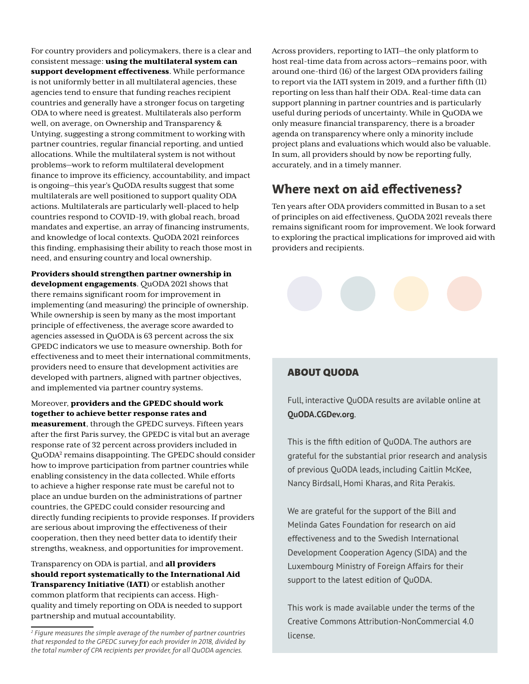For country providers and policymakers, there is a clear and consistent message: using the multilateral system can support development effectiveness. While performance is not uniformly better in all multilateral agencies, these agencies tend to ensure that funding reaches recipient countries and generally have a stronger focus on targeting ODA to where need is greatest. Multilaterals also perform well, on average, on Ownership and Transparency & Untying, suggesting a strong commitment to working with partner countries, regular financial reporting, and untied allocations. While the multilateral system is not without problems—work to reform multilateral development finance to improve its efficiency, accountability, and impact is ongoing—this year's QuODA results suggest that some multilaterals are well positioned to support quality ODA actions. Multilaterals are particularly well-placed to help countries respond to COVID-19, with global reach, broad mandates and expertise, an array of financing instruments, and knowledge of local contexts. QuODA 2021 reinforces this finding, emphasising their ability to reach those most in need, and ensuring country and local ownership.

Providers should strengthen partner ownership in development engagements. QuODA 2021 shows that there remains significant room for improvement in implementing (and measuring) the principle of ownership. While ownership is seen by many as the most important principle of effectiveness, the average score awarded to agencies assessed in QuODA is 63 percent across the six GPEDC indicators we use to measure ownership. Both for effectiveness and to meet their international commitments, providers need to ensure that development activities are developed with partners, aligned with partner objectives, and implemented via partner country systems.

#### Moreover, providers and the GPEDC should work together to achieve better response rates and

measurement, through the GPEDC surveys. Fifteen years after the first Paris survey, the GPEDC is vital but an average response rate of 32 percent across providers included in QuODA<sup>2</sup> remains disappointing. The GPEDC should consider how to improve participation from partner countries while enabling consistency in the data collected. While efforts to achieve a higher response rate must be careful not to place an undue burden on the administrations of partner countries, the GPEDC could consider resourcing and directly funding recipients to provide responses. If providers are serious about improving the effectiveness of their cooperation, then they need better data to identify their strengths, weakness, and opportunities for improvement.

Transparency on ODA is partial, and all providers should report systematically to the International Aid Transparency Initiative (IATI) or establish another common platform that recipients can access. Highquality and timely reporting on ODA is needed to support partnership and mutual accountability.

Across providers, reporting to IATI—the only platform to host real-time data from across actors—remains poor, with around one-third (16) of the largest ODA providers failing to report via the IATI system in 2019, and a further fifth (11) reporting on less than half their ODA. Real-time data can support planning in partner countries and is particularly useful during periods of uncertainty. While in QuODA we only measure financial transparency, there is a broader agenda on transparency where only a minority include project plans and evaluations which would also be valuable. In sum, all providers should by now be reporting fully, accurately, and in a timely manner.

# **Where next on aid effectiveness?**

Ten years after ODA providers committed in Busan to a set of principles on aid effectiveness, QuODA 2021 reveals there remains significant room for improvement. We look forward to exploring the practical implications for improved aid with providers and recipients.

#### ABOUT QUODA

Full, interactive QuODA results are avilable online at **[QuODA.CGDev.org](https://quoda.cgdev.org/)**.

This is the fifth edition of QuODA. The authors are grateful for the substantial prior research and analysis of previous QuODA leads, including Caitlin McKee, Nancy Birdsall, Homi Kharas, and Rita Perakis.

We are grateful for the support of the Bill and Melinda Gates Foundation for research on aid effectiveness and to the Swedish International Development Cooperation Agency (SIDA) and the Luxembourg Ministry of Foreign Affairs for their support to the latest edition of QuODA.

This work is made available under the terms of the Creative Commons Attribution-NonCommercial 4.0 license.

*<sup>2</sup> Figure measures the simple average of the number of partner countries that responded to the GPEDC survey for each provider in 2018, divided by the total number of CPA recipients per provider, for all QuODA agencies.*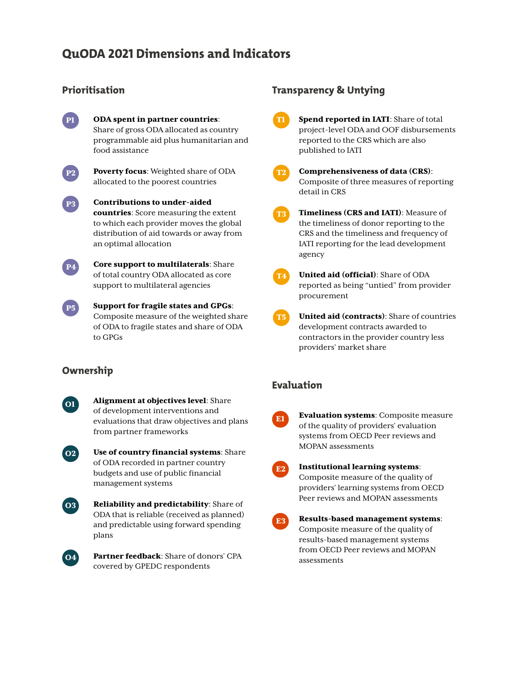# **QuODA 2021 Dimensions and Indicators**

#### **Prioritisation**



ODA spent in partner countries: Share of gross ODA allocated as country programmable aid plus humanitarian and food assistance



Poverty focus: Weighted share of ODA allocated to the poorest countries



 $\mathbf{P4}$ 

 $\boxed{P5}$ 

Contributions to under-aided countries: Score measuring the extent to which each provider moves the global distribution of aid towards or away from an optimal allocation

Core support to multilaterals: Share of total country ODA allocated as core support to multilateral agencies

Support for fragile states and GPGs: Composite measure of the weighted share of ODA to fragile states and share of ODA to GPGs

#### **Ownership**

Alignment at objectives level: Share of development interventions and evaluations that draw objectives and plans from partner frameworks



 $\boxed{01}$ 

Use of country financial systems: Share of ODA recorded in partner country budgets and use of public financial management systems



Reliability and predictability: Share of ODA that is reliable (received as planned) and predictable using forward spending plans



Partner feedback: Share of donors' CPA covered by GPEDC respondents

#### **Transparency & Untying**

T1 Spend reported in IATI: Share of total project-level ODA and OOF disbursements reported to the CRS which are also published to IATI



T4

- Comprehensiveness of data (CRS): Composite of three measures of reporting detail in CRS
- T3 Timeliness (CRS and IATI): Measure of the timeliness of donor reporting to the CRS and the timeliness and frequency of IATI reporting for the lead development agency
	-

United aid (official): Share of ODA reported as being "untied" from provider procurement

T5 United aid (contracts): Share of countries development contracts awarded to contractors in the provider country less providers' market share

#### **Evaluation**

E1

Evaluation systems: Composite measure of the quality of providers' evaluation systems from OECD Peer reviews and MOPAN assessments

| $\mathcal{L}(\mathcal{L})$ and $\mathcal{L}(\mathcal{L})$ and $\mathcal{L}(\mathcal{L})$ and $\mathcal{L}(\mathcal{L})$ |
|-------------------------------------------------------------------------------------------------------------------------|
|                                                                                                                         |
| ۰,                                                                                                                      |
| $\mathcal{L}(\mathcal{L})$ and $\mathcal{L}(\mathcal{L})$ and $\mathcal{L}(\mathcal{L})$                                |
|                                                                                                                         |

E<sub>3</sub>

#### Institutional learning systems: Composite measure of the quality of

providers' learning systems from OECD Peer reviews and MOPAN assessments

```
Results-based management systems: 
Composite measure of the quality of 
results-based management systems 
from OECD Peer reviews and MOPAN 
assessments
```